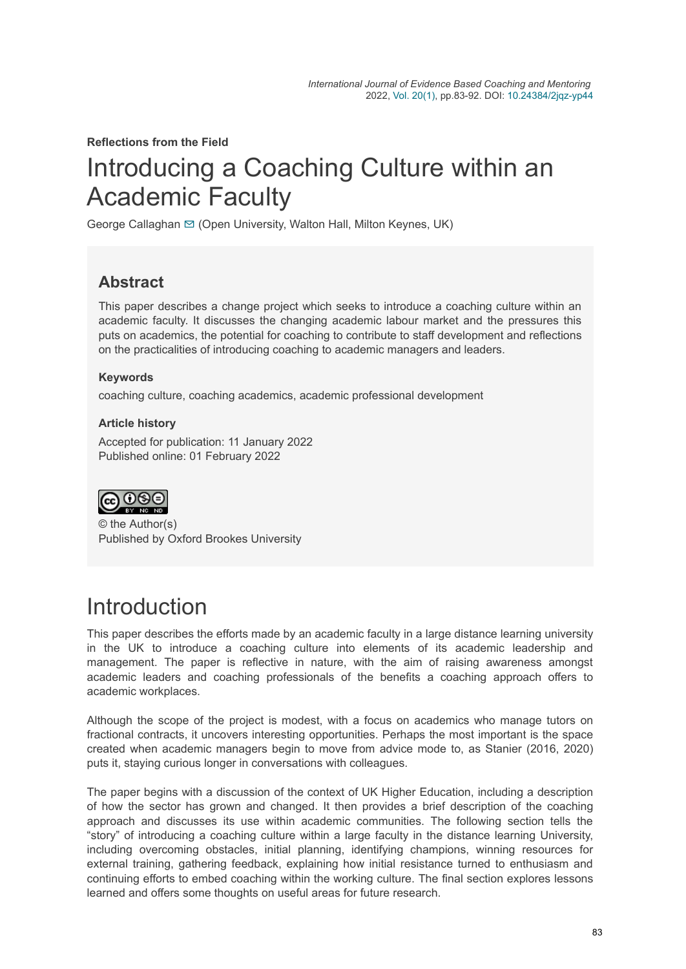**Reflections from the Field**

# Introducing a Coaching Culture within an Academic Faculty

George Callaghan [✉](mailto:George.callaghan@open.ac.uk) (Open University, Walton Hall, Milton Keynes, UK)

#### **Abstract**

This paper describes a change project which seeks to introduce a coaching culture within an academic faculty. It discusses the changing academic labour market and the pressures this puts on academics, the potential for coaching to contribute to staff development and reflections on the practicalities of introducing coaching to academic managers and leaders.

#### **Keywords**

coaching culture, coaching academics, academic professional development

#### **Article history**

Accepted for publication: 11 January 2022 Published online: 01 February 2022



© the Author(s) Published by Oxford Brookes University

## **Introduction**

This paper describes the efforts made by an academic faculty in a large distance learning university in the UK to introduce a coaching culture into elements of its academic leadership and management. The paper is reflective in nature, with the aim of raising awareness amongst academic leaders and coaching professionals of the benefits a coaching approach offers to academic workplaces.

Although the scope of the project is modest, with a focus on academics who manage tutors on fractional contracts, it uncovers interesting opportunities. Perhaps the most important is the space created when academic managers begin to move from advice mode to, as Stanier (2016, 2020) puts it, staying curious longer in conversations with colleagues.

The paper begins with a discussion of the context of UK Higher Education, including a description of how the sector has grown and changed. It then provides a brief description of the coaching approach and discusses its use within academic communities. The following section tells the "story" of introducing a coaching culture within a large faculty in the distance learning University, including overcoming obstacles, initial planning, identifying champions, winning resources for external training, gathering feedback, explaining how initial resistance turned to enthusiasm and continuing efforts to embed coaching within the working culture. The final section explores lessons learned and offers some thoughts on useful areas for future research.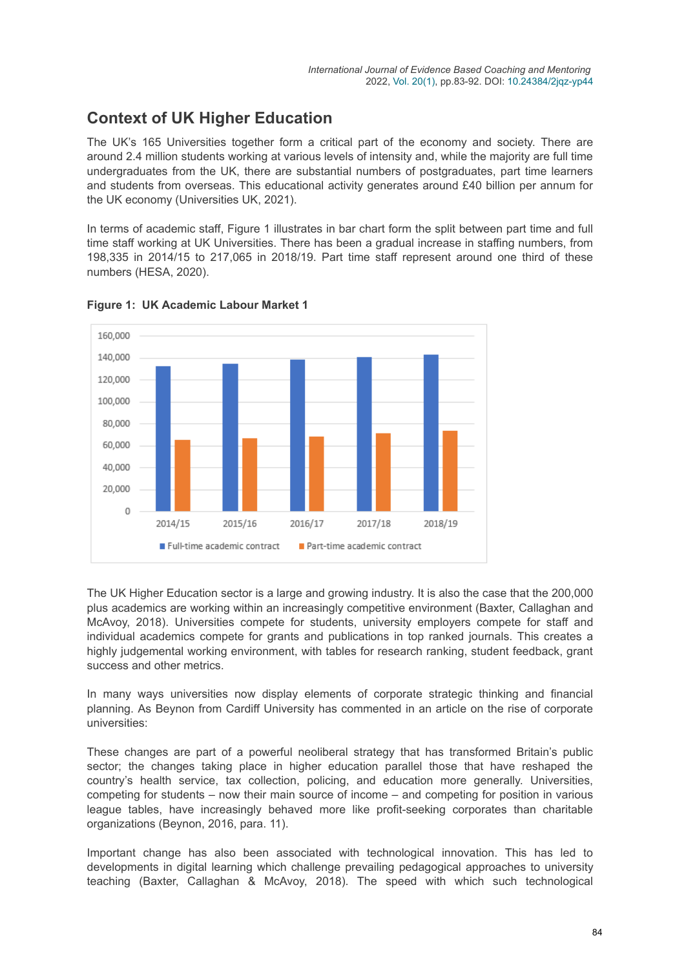### **Context of UK Higher Education**

The UK's 165 Universities together form a critical part of the economy and society. There are around 2.4 million students working at various levels of intensity and, while the majority are full time undergraduates from the UK, there are substantial numbers of postgraduates, part time learners and students from overseas. This educational activity generates around £40 billion per annum for the UK economy (Universities UK, 2021).

In terms of academic staff, Figure 1 illustrates in bar chart form the split between part time and full time staff working at UK Universities. There has been a gradual increase in staffing numbers, from 198,335 in 2014/15 to 217,065 in 2018/19. Part time staff represent around one third of these numbers (HESA, 2020).



**Figure 1: UK Academic Labour Market 1**

The UK Higher Education sector is a large and growing industry. It is also the case that the 200,000 plus academics are working within an increasingly competitive environment (Baxter, Callaghan and McAvoy, 2018). Universities compete for students, university employers compete for staff and individual academics compete for grants and publications in top ranked journals. This creates a highly judgemental working environment, with tables for research ranking, student feedback, grant success and other metrics.

In many ways universities now display elements of corporate strategic thinking and financial planning. As Beynon from Cardiff University has commented in an article on the rise of corporate universities:

These changes are part of a powerful neoliberal strategy that has transformed Britain's public sector; the changes taking place in higher education parallel those that have reshaped the country's health service, tax collection, policing, and education more generally. Universities, competing for students – now their main source of income – and competing for position in various league tables, have increasingly behaved more like profit-seeking corporates than charitable organizations (Beynon, 2016, para. 11).

Important change has also been associated with technological innovation. This has led to developments in digital learning which challenge prevailing pedagogical approaches to university teaching (Baxter, Callaghan & McAvoy, 2018). The speed with which such technological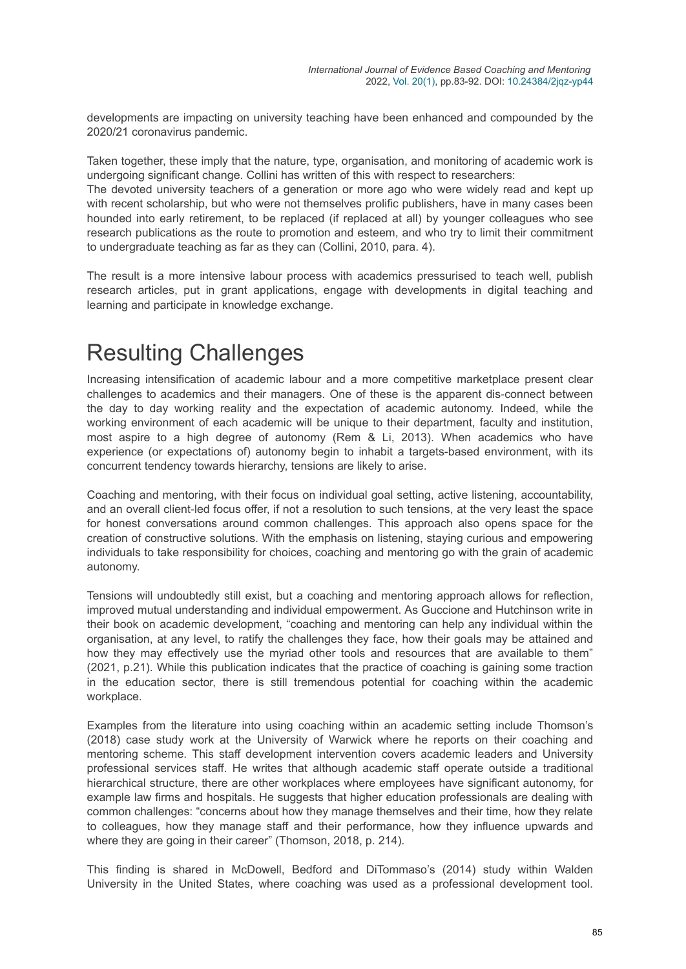developments are impacting on university teaching have been enhanced and compounded by the 2020/21 coronavirus pandemic.

Taken together, these imply that the nature, type, organisation, and monitoring of academic work is undergoing significant change. Collini has written of this with respect to researchers:

The devoted university teachers of a generation or more ago who were widely read and kept up with recent scholarship, but who were not themselves prolific publishers, have in many cases been hounded into early retirement, to be replaced (if replaced at all) by younger colleagues who see research publications as the route to promotion and esteem, and who try to limit their commitment to undergraduate teaching as far as they can (Collini, 2010, para. 4).

The result is a more intensive labour process with academics pressurised to teach well, publish research articles, put in grant applications, engage with developments in digital teaching and learning and participate in knowledge exchange.

## Resulting Challenges

Increasing intensification of academic labour and a more competitive marketplace present clear challenges to academics and their managers. One of these is the apparent dis-connect between the day to day working reality and the expectation of academic autonomy. Indeed, while the working environment of each academic will be unique to their department, faculty and institution, most aspire to a high degree of autonomy (Rem & Li, 2013). When academics who have experience (or expectations of) autonomy begin to inhabit a targets-based environment, with its concurrent tendency towards hierarchy, tensions are likely to arise.

Coaching and mentoring, with their focus on individual goal setting, active listening, accountability, and an overall client-led focus offer, if not a resolution to such tensions, at the very least the space for honest conversations around common challenges. This approach also opens space for the creation of constructive solutions. With the emphasis on listening, staying curious and empowering individuals to take responsibility for choices, coaching and mentoring go with the grain of academic autonomy.

Tensions will undoubtedly still exist, but a coaching and mentoring approach allows for reflection, improved mutual understanding and individual empowerment. As Guccione and Hutchinson write in their book on academic development, "coaching and mentoring can help any individual within the organisation, at any level, to ratify the challenges they face, how their goals may be attained and how they may effectively use the myriad other tools and resources that are available to them" (2021, p.21). While this publication indicates that the practice of coaching is gaining some traction in the education sector, there is still tremendous potential for coaching within the academic workplace.

Examples from the literature into using coaching within an academic setting include Thomson's (2018) case study work at the University of Warwick where he reports on their coaching and mentoring scheme. This staff development intervention covers academic leaders and University professional services staff. He writes that although academic staff operate outside a traditional hierarchical structure, there are other workplaces where employees have significant autonomy, for example law firms and hospitals. He suggests that higher education professionals are dealing with common challenges: "concerns about how they manage themselves and their time, how they relate to colleagues, how they manage staff and their performance, how they influence upwards and where they are going in their career" (Thomson, 2018, p. 214).

This finding is shared in McDowell, Bedford and DiTommaso's (2014) study within Walden University in the United States, where coaching was used as a professional development tool.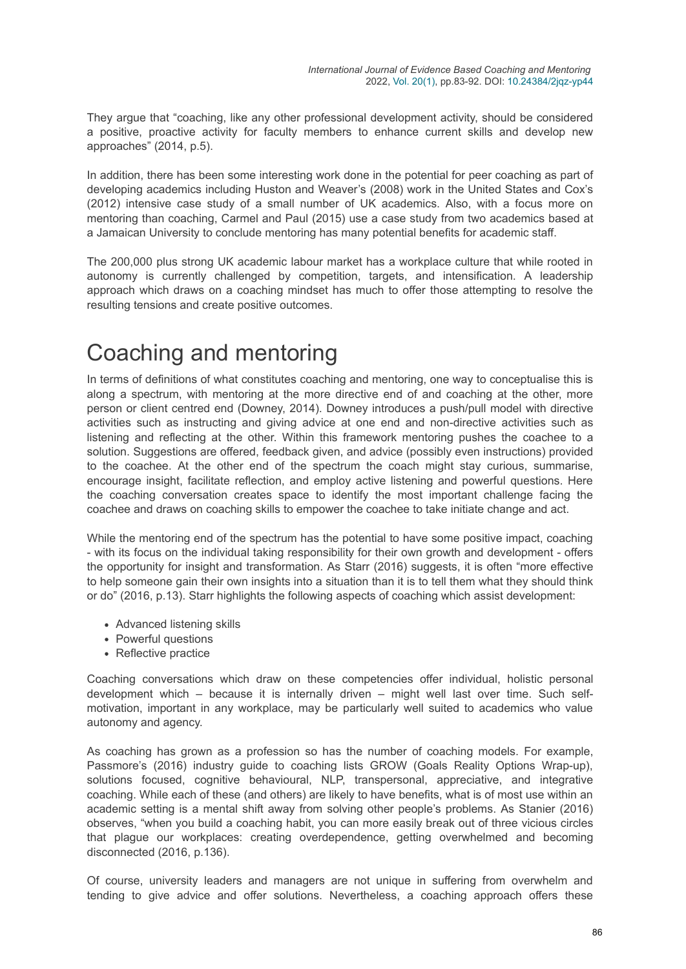They argue that "coaching, like any other professional development activity, should be considered a positive, proactive activity for faculty members to enhance current skills and develop new approaches" (2014, p.5).

In addition, there has been some interesting work done in the potential for peer coaching as part of developing academics including Huston and Weaver's (2008) work in the United States and Cox's (2012) intensive case study of a small number of UK academics. Also, with a focus more on mentoring than coaching, Carmel and Paul (2015) use a case study from two academics based at a Jamaican University to conclude mentoring has many potential benefits for academic staff.

The 200,000 plus strong UK academic labour market has a workplace culture that while rooted in autonomy is currently challenged by competition, targets, and intensification. A leadership approach which draws on a coaching mindset has much to offer those attempting to resolve the resulting tensions and create positive outcomes.

## Coaching and mentoring

In terms of definitions of what constitutes coaching and mentoring, one way to conceptualise this is along a spectrum, with mentoring at the more directive end of and coaching at the other, more person or client centred end (Downey, 2014). Downey introduces a push/pull model with directive activities such as instructing and giving advice at one end and non-directive activities such as listening and reflecting at the other. Within this framework mentoring pushes the coachee to a solution. Suggestions are offered, feedback given, and advice (possibly even instructions) provided to the coachee. At the other end of the spectrum the coach might stay curious, summarise, encourage insight, facilitate reflection, and employ active listening and powerful questions. Here the coaching conversation creates space to identify the most important challenge facing the coachee and draws on coaching skills to empower the coachee to take initiate change and act.

While the mentoring end of the spectrum has the potential to have some positive impact, coaching - with its focus on the individual taking responsibility for their own growth and development - offers the opportunity for insight and transformation. As Starr (2016) suggests, it is often "more effective to help someone gain their own insights into a situation than it is to tell them what they should think or do" (2016, p.13). Starr highlights the following aspects of coaching which assist development:

- Advanced listening skills
- Powerful questions
- Reflective practice

Coaching conversations which draw on these competencies offer individual, holistic personal development which – because it is internally driven – might well last over time. Such selfmotivation, important in any workplace, may be particularly well suited to academics who value autonomy and agency.

As coaching has grown as a profession so has the number of coaching models. For example, Passmore's (2016) industry guide to coaching lists GROW (Goals Reality Options Wrap-up), solutions focused, cognitive behavioural, NLP, transpersonal, appreciative, and integrative coaching. While each of these (and others) are likely to have benefits, what is of most use within an academic setting is a mental shift away from solving other people's problems. As Stanier (2016) observes, "when you build a coaching habit, you can more easily break out of three vicious circles that plague our workplaces: creating overdependence, getting overwhelmed and becoming disconnected (2016, p.136).

Of course, university leaders and managers are not unique in suffering from overwhelm and tending to give advice and offer solutions. Nevertheless, a coaching approach offers these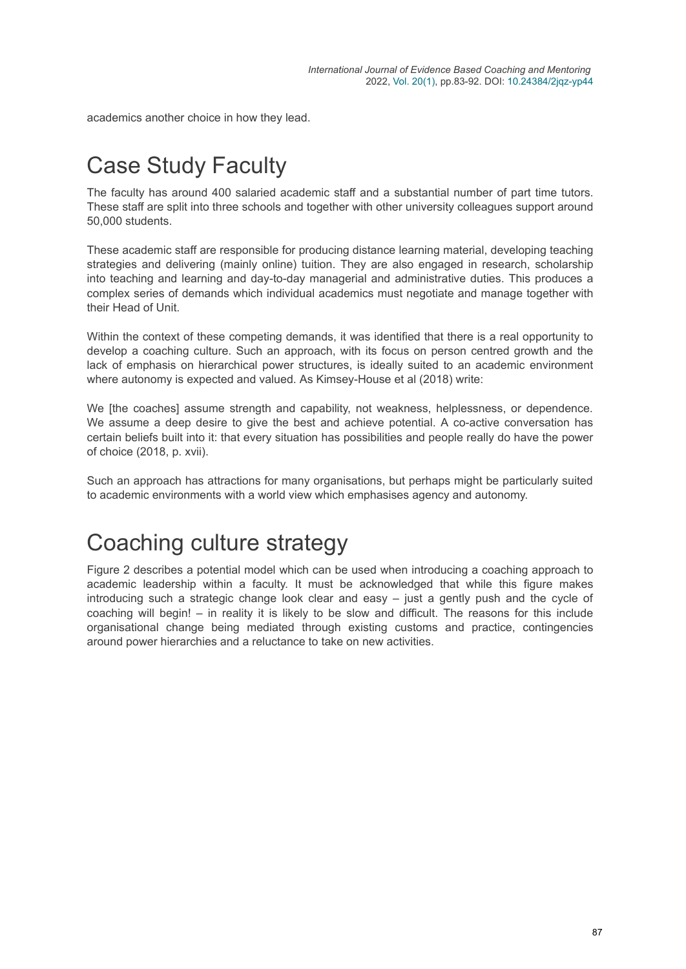academics another choice in how they lead.

# Case Study Faculty

The faculty has around 400 salaried academic staff and a substantial number of part time tutors. These staff are split into three schools and together with other university colleagues support around 50,000 students.

These academic staff are responsible for producing distance learning material, developing teaching strategies and delivering (mainly online) tuition. They are also engaged in research, scholarship into teaching and learning and day-to-day managerial and administrative duties. This produces a complex series of demands which individual academics must negotiate and manage together with their Head of Unit.

Within the context of these competing demands, it was identified that there is a real opportunity to develop a coaching culture. Such an approach, with its focus on person centred growth and the lack of emphasis on hierarchical power structures, is ideally suited to an academic environment where autonomy is expected and valued. As Kimsey-House et al (2018) write:

We [the coaches] assume strength and capability, not weakness, helplessness, or dependence. We assume a deep desire to give the best and achieve potential. A co-active conversation has certain beliefs built into it: that every situation has possibilities and people really do have the power of choice (2018, p. xvii).

Such an approach has attractions for many organisations, but perhaps might be particularly suited to academic environments with a world view which emphasises agency and autonomy.

## Coaching culture strategy

Figure 2 describes a potential model which can be used when introducing a coaching approach to academic leadership within a faculty. It must be acknowledged that while this figure makes introducing such a strategic change look clear and easy – just a gently push and the cycle of coaching will begin! – in reality it is likely to be slow and difficult. The reasons for this include organisational change being mediated through existing customs and practice, contingencies around power hierarchies and a reluctance to take on new activities.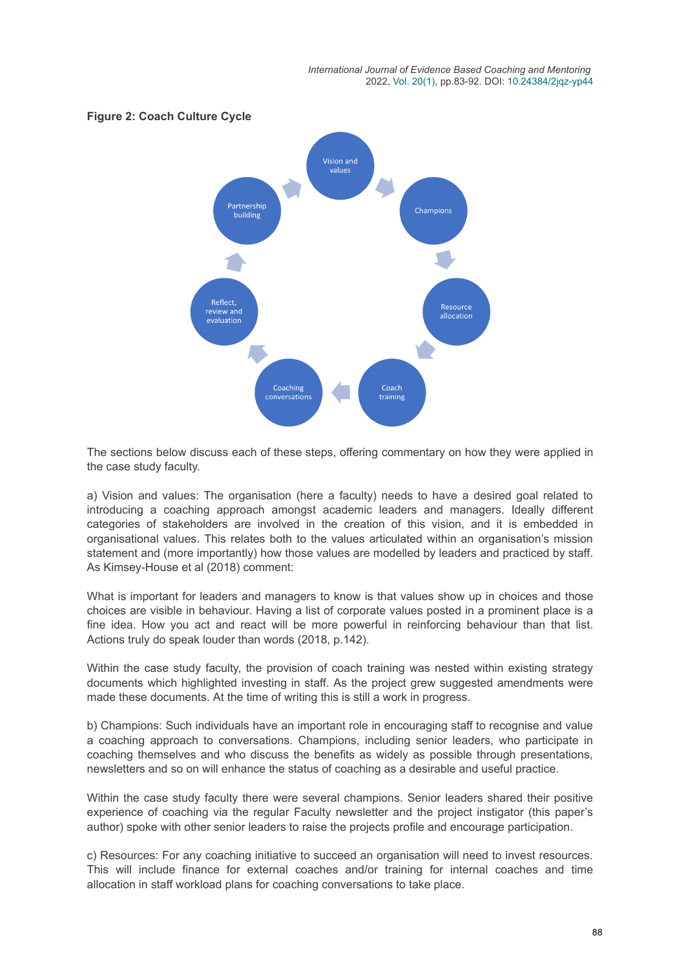

The sections below discuss each of these steps, offering commentary on how they were applied in the case study faculty.

a) Vision and values: The organisation (here a faculty) needs to have a desired goal related to introducing a coaching approach amongst academic leaders and managers. Ideally different categories of stakeholders are involved in the creation of this vision, and it is embedded in organisational values. This relates both to the values articulated within an organisation's mission statement and (more importantly) how those values are modelled by leaders and practiced by staff. As Kimsey-House et al (2018) comment:

What is important for leaders and managers to know is that values show up in choices and those choices are visible in behaviour. Having a list of corporate values posted in a prominent place is a fine idea. How you act and react will be more powerful in reinforcing behaviour than that list. Actions truly do speak louder than words (2018, p.142).

Within the case study faculty, the provision of coach training was nested within existing strategy documents which highlighted investing in staff. As the project grew suggested amendments were made these documents. At the time of writing this is still a work in progress.

b) Champions: Such individuals have an important role in encouraging staff to recognise and value a coaching approach to conversations. Champions, including senior leaders, who participate in coaching themselves and who discuss the benefits as widely as possible through presentations, newsletters and so on will enhance the status of coaching as a desirable and useful practice.

Within the case study faculty there were several champions. Senior leaders shared their positive experience of coaching via the regular Faculty newsletter and the project instigator (this paper's author) spoke with other senior leaders to raise the projects profile and encourage participation.

c) Resources: For any coaching initiative to succeed an organisation will need to invest resources. This will include finance for external coaches and/or training for internal coaches and time allocation in staff workload plans for coaching conversations to take place.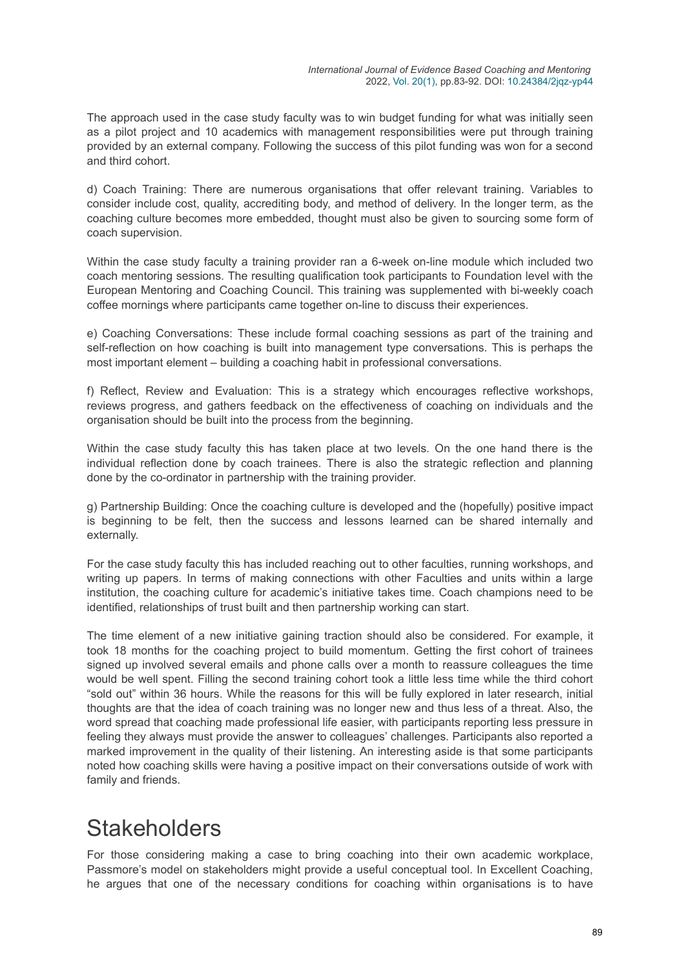The approach used in the case study faculty was to win budget funding for what was initially seen as a pilot project and 10 academics with management responsibilities were put through training provided by an external company. Following the success of this pilot funding was won for a second and third cohort.

d) Coach Training: There are numerous organisations that offer relevant training. Variables to consider include cost, quality, accrediting body, and method of delivery. In the longer term, as the coaching culture becomes more embedded, thought must also be given to sourcing some form of coach supervision.

Within the case study faculty a training provider ran a 6-week on-line module which included two coach mentoring sessions. The resulting qualification took participants to Foundation level with the European Mentoring and Coaching Council. This training was supplemented with bi-weekly coach coffee mornings where participants came together on-line to discuss their experiences.

e) Coaching Conversations: These include formal coaching sessions as part of the training and self-reflection on how coaching is built into management type conversations. This is perhaps the most important element – building a coaching habit in professional conversations.

f) Reflect, Review and Evaluation: This is a strategy which encourages reflective workshops, reviews progress, and gathers feedback on the effectiveness of coaching on individuals and the organisation should be built into the process from the beginning.

Within the case study faculty this has taken place at two levels. On the one hand there is the individual reflection done by coach trainees. There is also the strategic reflection and planning done by the co-ordinator in partnership with the training provider.

g) Partnership Building: Once the coaching culture is developed and the (hopefully) positive impact is beginning to be felt, then the success and lessons learned can be shared internally and externally.

For the case study faculty this has included reaching out to other faculties, running workshops, and writing up papers. In terms of making connections with other Faculties and units within a large institution, the coaching culture for academic's initiative takes time. Coach champions need to be identified, relationships of trust built and then partnership working can start.

The time element of a new initiative gaining traction should also be considered. For example, it took 18 months for the coaching project to build momentum. Getting the first cohort of trainees signed up involved several emails and phone calls over a month to reassure colleagues the time would be well spent. Filling the second training cohort took a little less time while the third cohort "sold out" within 36 hours. While the reasons for this will be fully explored in later research, initial thoughts are that the idea of coach training was no longer new and thus less of a threat. Also, the word spread that coaching made professional life easier, with participants reporting less pressure in feeling they always must provide the answer to colleagues' challenges. Participants also reported a marked improvement in the quality of their listening. An interesting aside is that some participants noted how coaching skills were having a positive impact on their conversations outside of work with family and friends.

## **Stakeholders**

For those considering making a case to bring coaching into their own academic workplace, Passmore's model on stakeholders might provide a useful conceptual tool. In Excellent Coaching, he argues that one of the necessary conditions for coaching within organisations is to have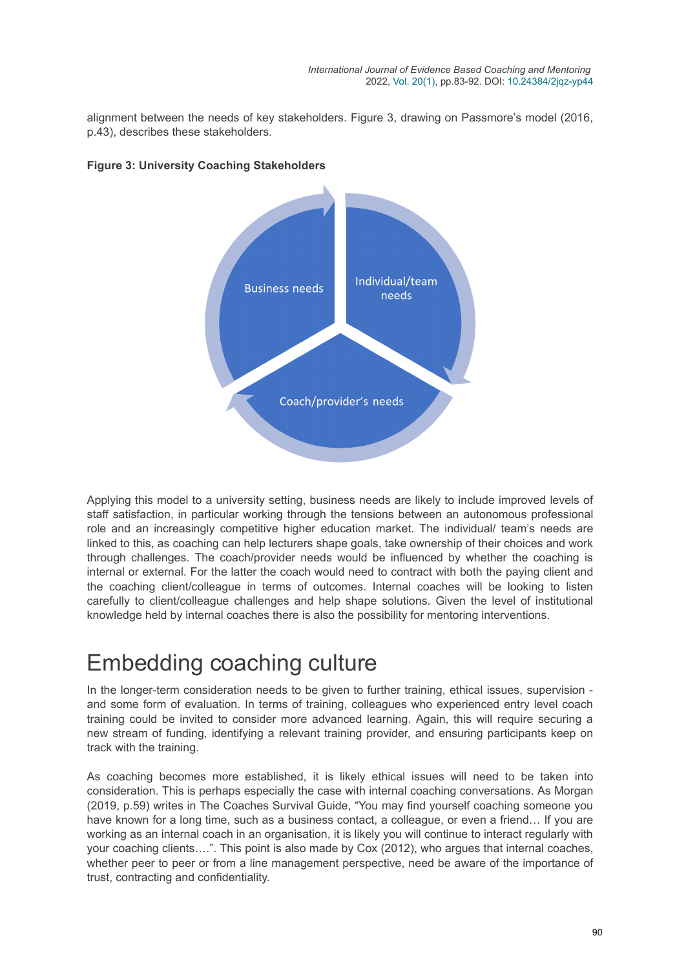alignment between the needs of key stakeholders. Figure 3, drawing on Passmore's model (2016, p.43), describes these stakeholders.



#### **Figure 3: University Coaching Stakeholders**

Applying this model to a university setting, business needs are likely to include improved levels of staff satisfaction, in particular working through the tensions between an autonomous professional role and an increasingly competitive higher education market. The individual/ team's needs are linked to this, as coaching can help lecturers shape goals, take ownership of their choices and work through challenges. The coach/provider needs would be influenced by whether the coaching is internal or external. For the latter the coach would need to contract with both the paying client and the coaching client/colleague in terms of outcomes. Internal coaches will be looking to listen carefully to client/colleague challenges and help shape solutions. Given the level of institutional knowledge held by internal coaches there is also the possibility for mentoring interventions.

## Embedding coaching culture

In the longer-term consideration needs to be given to further training, ethical issues, supervision and some form of evaluation. In terms of training, colleagues who experienced entry level coach training could be invited to consider more advanced learning. Again, this will require securing a new stream of funding, identifying a relevant training provider, and ensuring participants keep on track with the training.

As coaching becomes more established, it is likely ethical issues will need to be taken into consideration. This is perhaps especially the case with internal coaching conversations. As Morgan (2019, p.59) writes in The Coaches Survival Guide, "You may find yourself coaching someone you have known for a long time, such as a business contact, a colleague, or even a friend… If you are working as an internal coach in an organisation, it is likely you will continue to interact regularly with your coaching clients….". This point is also made by Cox (2012), who argues that internal coaches, whether peer to peer or from a line management perspective, need be aware of the importance of trust, contracting and confidentiality.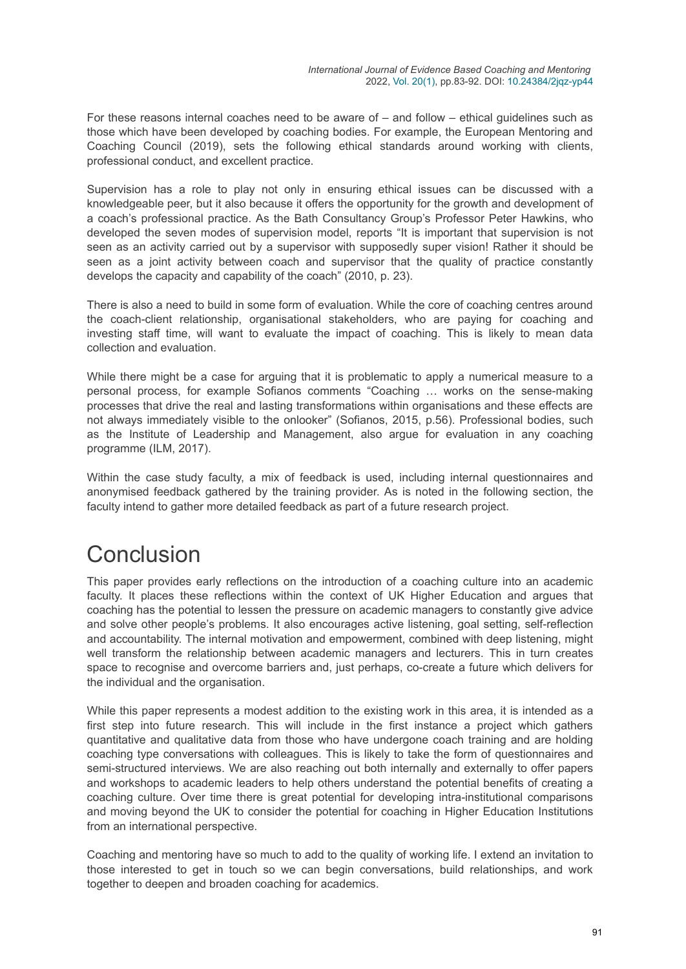For these reasons internal coaches need to be aware of – and follow – ethical guidelines such as those which have been developed by coaching bodies. For example, the European Mentoring and Coaching Council (2019), sets the following ethical standards around working with clients, professional conduct, and excellent practice.

Supervision has a role to play not only in ensuring ethical issues can be discussed with a knowledgeable peer, but it also because it offers the opportunity for the growth and development of a coach's professional practice. As the Bath Consultancy Group's Professor Peter Hawkins, who developed the seven modes of supervision model, reports "It is important that supervision is not seen as an activity carried out by a supervisor with supposedly super vision! Rather it should be seen as a joint activity between coach and supervisor that the quality of practice constantly develops the capacity and capability of the coach" (2010, p. 23).

There is also a need to build in some form of evaluation. While the core of coaching centres around the coach-client relationship, organisational stakeholders, who are paying for coaching and investing staff time, will want to evaluate the impact of coaching. This is likely to mean data collection and evaluation.

While there might be a case for arguing that it is problematic to apply a numerical measure to a personal process, for example Sofianos comments "Coaching … works on the sense-making processes that drive the real and lasting transformations within organisations and these effects are not always immediately visible to the onlooker" (Sofianos, 2015, p.56). Professional bodies, such as the Institute of Leadership and Management, also argue for evaluation in any coaching programme (ILM, 2017).

Within the case study faculty, a mix of feedback is used, including internal questionnaires and anonymised feedback gathered by the training provider. As is noted in the following section, the faculty intend to gather more detailed feedback as part of a future research project.

## Conclusion

This paper provides early reflections on the introduction of a coaching culture into an academic faculty. It places these reflections within the context of UK Higher Education and argues that coaching has the potential to lessen the pressure on academic managers to constantly give advice and solve other people's problems. It also encourages active listening, goal setting, self-reflection and accountability. The internal motivation and empowerment, combined with deep listening, might well transform the relationship between academic managers and lecturers. This in turn creates space to recognise and overcome barriers and, just perhaps, co-create a future which delivers for the individual and the organisation.

While this paper represents a modest addition to the existing work in this area, it is intended as a first step into future research. This will include in the first instance a project which gathers quantitative and qualitative data from those who have undergone coach training and are holding coaching type conversations with colleagues. This is likely to take the form of questionnaires and semi-structured interviews. We are also reaching out both internally and externally to offer papers and workshops to academic leaders to help others understand the potential benefits of creating a coaching culture. Over time there is great potential for developing intra-institutional comparisons and moving beyond the UK to consider the potential for coaching in Higher Education Institutions from an international perspective.

Coaching and mentoring have so much to add to the quality of working life. I extend an invitation to those interested to get in touch so we can begin conversations, build relationships, and work together to deepen and broaden coaching for academics.